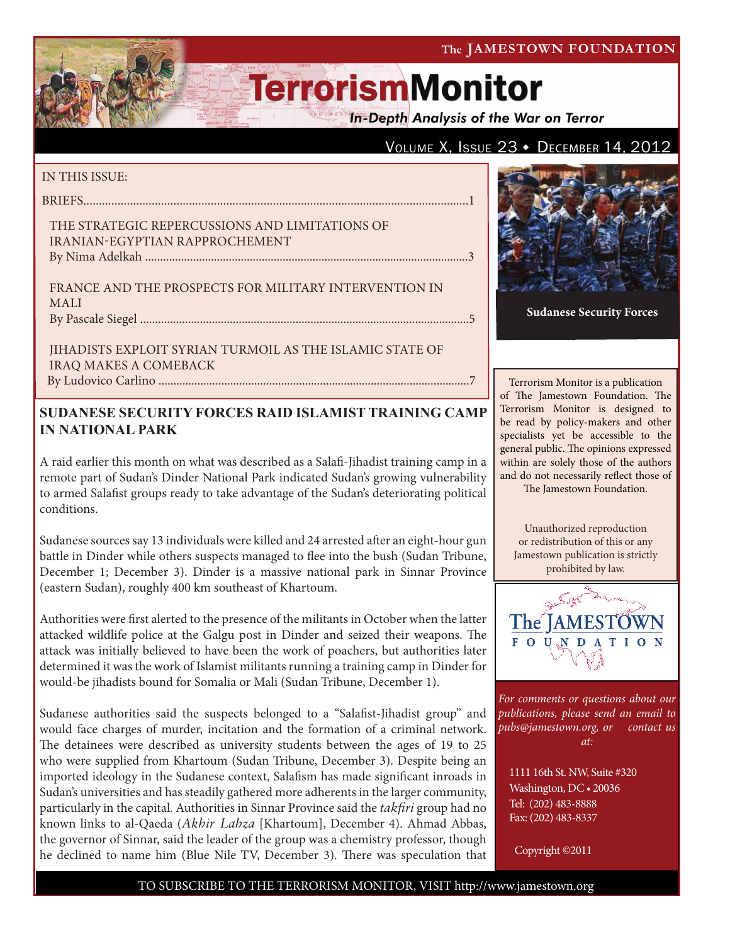#### The JAMESTOWN FOUNDATION

# **TerrorismMonitor**

**In-Depth Analysis of the War on Terror** 

### VOLUME X, ISSUE  $23 \cdot$  December 14, 2012

#### IN THIS ISSUE:

briefs............................................................................................................................1

#### The Strategic Repercussions and Limitations of Iranian-Egyptian Rapprochement By Nima Adelkah ............................................................................................................3

France and the Prospects for Military Intervention in Mali by Pascale Siegel ..............................................................................................................5

Jihadists Exploit Syrian Turmoil as the Islamic State of Iraq Makes a Comeback

By Ludovico Carlino ........................................................................................................7

## **SUDANESE SECURITY FORCES RAID ISLAMIST TRAINING CAMP IN NATIONAL PARK**

A raid earlier this month on what was described as a Salafi-Jihadist training camp in a remote part of Sudan's Dinder National Park indicated Sudan's growing vulnerability to armed Salafist groups ready to take advantage of the Sudan's deteriorating political conditions.

Sudanese sources say 13 individuals were killed and 24 arrested after an eight-hour gun battle in Dinder while others suspects managed to flee into the bush (Sudan Tribune, December 1; December 3). Dinder is a massive national park in Sinnar Province (eastern Sudan), roughly 400 km southeast of Khartoum.

Authorities were first alerted to the presence of the militants in October when the latter attacked wildlife police at the Galgu post in Dinder and seized their weapons. The attack was initially believed to have been the work of poachers, but authorities later determined it was the work of Islamist militants running a training camp in Dinder for would-be jihadists bound for Somalia or Mali (Sudan Tribune, December 1).

Sudanese authorities said the suspects belonged to a "Salafist-Jihadist group" and would face charges of murder, incitation and the formation of a criminal network. The detainees were described as university students between the ages of 19 to 25 who were supplied from Khartoum (Sudan Tribune, December 3). Despite being an imported ideology in the Sudanese context, Salafism has made significant inroads in Sudan's universities and has steadily gathered more adherents in the larger community, particularly in the capital. Authorities in Sinnar Province said the *takfiri* group had no known links to al-Qaeda (*Akhir Lahza* [Khartoum], December 4). Ahmad Abbas, the governor of Sinnar, said the leader of the group was a chemistry professor, though he declined to name him (Blue Nile TV, December 3). There was speculation that



**Sudanese Security Forces**

Terrorism Monitor is a publication of The Jamestown Foundation. The Terrorism Monitor is designed to be read by policy-makers and other specialists yet be accessible to the general public. The opinions expressed within are solely those of the authors and do not necessarily reflect those of The Jamestown Foundation.

Unauthorized reproduction or redistribution of this or any Jamestown publication is strictly prohibited by law.



*For comments or questions about our publications, please send an email to pubs@jamestown.org, or contact us at:* 

1111 16th St. NW, Suite #320 Washington, DC • 20036 Tel: (202) 483-8888 Fax: (202) 483-8337

Copyright ©2011

#### TO SUBSCRIBE TO THE TERRORISM MONITOR, VISIT http://www.jamestown.org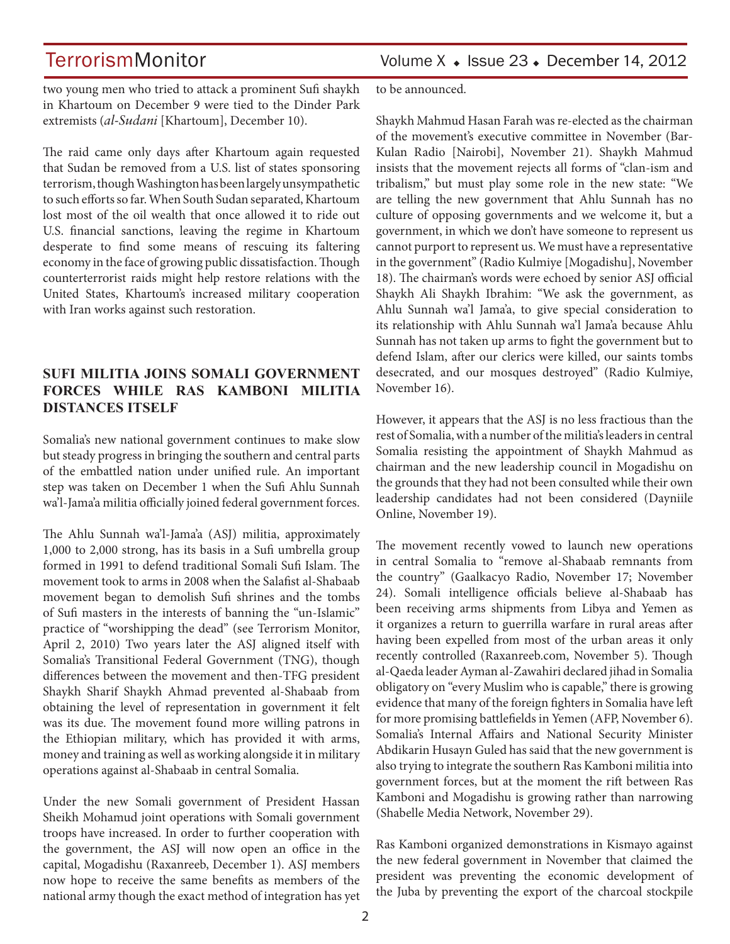TerrorismMonitor Volume X + Issue 23 + December 14, 2012

two young men who tried to attack a prominent Sufi shaykh in Khartoum on December 9 were tied to the Dinder Park extremists (*al-Sudani* [Khartoum], December 10).

The raid came only days after Khartoum again requested that Sudan be removed from a U.S. list of states sponsoring terrorism, though Washington has been largely unsympathetic to such efforts so far. When South Sudan separated, Khartoum lost most of the oil wealth that once allowed it to ride out U.S. financial sanctions, leaving the regime in Khartoum desperate to find some means of rescuing its faltering economy in the face of growing public dissatisfaction. Though counterterrorist raids might help restore relations with the United States, Khartoum's increased military cooperation with Iran works against such restoration.

### **SUFI MILITIA JOINS SOMALI GOVERNMENT FORCES WHILE RAS KAMBONI MILITIA DISTANCES ITSELF**

Somalia's new national government continues to make slow but steady progress in bringing the southern and central parts of the embattled nation under unified rule. An important step was taken on December 1 when the Sufi Ahlu Sunnah wa'l-Jama'a militia officially joined federal government forces.

The Ahlu Sunnah wa'l-Jama'a (ASJ) militia, approximately 1,000 to 2,000 strong, has its basis in a Sufi umbrella group formed in 1991 to defend traditional Somali Sufi Islam. The movement took to arms in 2008 when the Salafist al-Shabaab movement began to demolish Sufi shrines and the tombs of Sufi masters in the interests of banning the "un-Islamic" practice of "worshipping the dead" (see Terrorism Monitor, April 2, 2010) Two years later the ASJ aligned itself with Somalia's Transitional Federal Government (TNG), though differences between the movement and then-TFG president Shaykh Sharif Shaykh Ahmad prevented al-Shabaab from obtaining the level of representation in government it felt was its due. The movement found more willing patrons in the Ethiopian military, which has provided it with arms, money and training as well as working alongside it in military operations against al-Shabaab in central Somalia.

Under the new Somali government of President Hassan Sheikh Mohamud joint operations with Somali government troops have increased. In order to further cooperation with the government, the ASJ will now open an office in the capital, Mogadishu (Raxanreeb, December 1). ASJ members now hope to receive the same benefits as members of the national army though the exact method of integration has yet to be announced.

Shaykh Mahmud Hasan Farah was re-elected as the chairman of the movement's executive committee in November (Bar-Kulan Radio [Nairobi], November 21). Shaykh Mahmud insists that the movement rejects all forms of "clan-ism and tribalism," but must play some role in the new state: "We are telling the new government that Ahlu Sunnah has no culture of opposing governments and we welcome it, but a government, in which we don't have someone to represent us cannot purport to represent us. We must have a representative in the government" (Radio Kulmiye [Mogadishu], November 18). The chairman's words were echoed by senior ASJ official Shaykh Ali Shaykh Ibrahim: "We ask the government, as Ahlu Sunnah wa'l Jama'a, to give special consideration to its relationship with Ahlu Sunnah wa'l Jama'a because Ahlu Sunnah has not taken up arms to fight the government but to defend Islam, after our clerics were killed, our saints tombs desecrated, and our mosques destroyed" (Radio Kulmiye, November 16).

However, it appears that the ASJ is no less fractious than the rest of Somalia, with a number of the militia's leaders in central Somalia resisting the appointment of Shaykh Mahmud as chairman and the new leadership council in Mogadishu on the grounds that they had not been consulted while their own leadership candidates had not been considered (Dayniile Online, November 19).

The movement recently vowed to launch new operations in central Somalia to "remove al-Shabaab remnants from the country" (Gaalkacyo Radio, November 17; November 24). Somali intelligence officials believe al-Shabaab has been receiving arms shipments from Libya and Yemen as it organizes a return to guerrilla warfare in rural areas after having been expelled from most of the urban areas it only recently controlled (Raxanreeb.com, November 5). Though al-Qaeda leader Ayman al-Zawahiri declared jihad in Somalia obligatory on "every Muslim who is capable," there is growing evidence that many of the foreign fighters in Somalia have left for more promising battlefields in Yemen (AFP, November 6). Somalia's Internal Affairs and National Security Minister Abdikarin Husayn Guled has said that the new government is also trying to integrate the southern Ras Kamboni militia into government forces, but at the moment the rift between Ras Kamboni and Mogadishu is growing rather than narrowing (Shabelle Media Network, November 29).

Ras Kamboni organized demonstrations in Kismayo against the new federal government in November that claimed the president was preventing the economic development of the Juba by preventing the export of the charcoal stockpile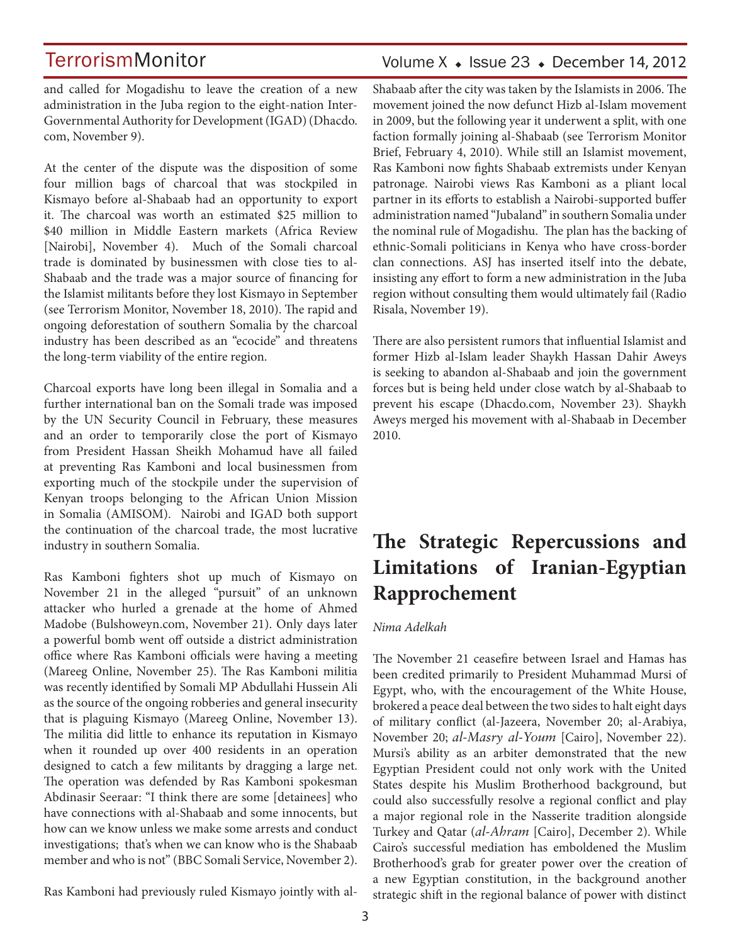## Volume  $X \triangleleft$  Issue 23  $\triangleleft$  December 14, 2012

and called for Mogadishu to leave the creation of a new administration in the Juba region to the eight-nation Inter-Governmental Authority for Development (IGAD) (Dhacdo. com, November 9).

At the center of the dispute was the disposition of some four million bags of charcoal that was stockpiled in Kismayo before al-Shabaab had an opportunity to export it. The charcoal was worth an estimated \$25 million to \$40 million in Middle Eastern markets (Africa Review [Nairobi], November 4). Much of the Somali charcoal trade is dominated by businessmen with close ties to al-Shabaab and the trade was a major source of financing for the Islamist militants before they lost Kismayo in September (see Terrorism Monitor, November 18, 2010). The rapid and ongoing deforestation of southern Somalia by the charcoal industry has been described as an "ecocide" and threatens the long-term viability of the entire region.

Charcoal exports have long been illegal in Somalia and a further international ban on the Somali trade was imposed by the UN Security Council in February, these measures and an order to temporarily close the port of Kismayo from President Hassan Sheikh Mohamud have all failed at preventing Ras Kamboni and local businessmen from exporting much of the stockpile under the supervision of Kenyan troops belonging to the African Union Mission in Somalia (AMISOM). Nairobi and IGAD both support the continuation of the charcoal trade, the most lucrative industry in southern Somalia.

Ras Kamboni fighters shot up much of Kismayo on November 21 in the alleged "pursuit" of an unknown attacker who hurled a grenade at the home of Ahmed Madobe (Bulshoweyn.com, November 21). Only days later a powerful bomb went off outside a district administration office where Ras Kamboni officials were having a meeting (Mareeg Online, November 25). The Ras Kamboni militia was recently identified by Somali MP Abdullahi Hussein Ali as the source of the ongoing robberies and general insecurity that is plaguing Kismayo (Mareeg Online, November 13). The militia did little to enhance its reputation in Kismayo when it rounded up over 400 residents in an operation designed to catch a few militants by dragging a large net. The operation was defended by Ras Kamboni spokesman Abdinasir Seeraar: "I think there are some [detainees] who have connections with al-Shabaab and some innocents, but how can we know unless we make some arrests and conduct investigations; that's when we can know who is the Shabaab member and who is not" (BBC Somali Service, November 2).

Ras Kamboni had previously ruled Kismayo jointly with al-

Shabaab after the city was taken by the Islamists in 2006. The movement joined the now defunct Hizb al-Islam movement in 2009, but the following year it underwent a split, with one faction formally joining al-Shabaab (see Terrorism Monitor Brief, February 4, 2010). While still an Islamist movement, Ras Kamboni now fights Shabaab extremists under Kenyan patronage. Nairobi views Ras Kamboni as a pliant local partner in its efforts to establish a Nairobi-supported buffer administration named "Jubaland" in southern Somalia under the nominal rule of Mogadishu. The plan has the backing of ethnic-Somali politicians in Kenya who have cross-border clan connections. ASJ has inserted itself into the debate, insisting any effort to form a new administration in the Juba region without consulting them would ultimately fail (Radio Risala, November 19).

There are also persistent rumors that influential Islamist and former Hizb al-Islam leader Shaykh Hassan Dahir Aweys is seeking to abandon al-Shabaab and join the government forces but is being held under close watch by al-Shabaab to prevent his escape (Dhacdo.com, November 23). Shaykh Aweys merged his movement with al-Shabaab in December 2010.

## **The Strategic Repercussions and Limitations of Iranian-Egyptian Rapprochement**

#### *Nima Adelkah*

The November 21 ceasefire between Israel and Hamas has been credited primarily to President Muhammad Mursi of Egypt, who, with the encouragement of the White House, brokered a peace deal between the two sides to halt eight days of military conflict (al-Jazeera, November 20; al-Arabiya, November 20; *al-Masry al-Youm* [Cairo], November 22). Mursi's ability as an arbiter demonstrated that the new Egyptian President could not only work with the United States despite his Muslim Brotherhood background, but could also successfully resolve a regional conflict and play a major regional role in the Nasserite tradition alongside Turkey and Qatar (*al-Ahram* [Cairo], December 2). While Cairo's successful mediation has emboldened the Muslim Brotherhood's grab for greater power over the creation of a new Egyptian constitution, in the background another strategic shift in the regional balance of power with distinct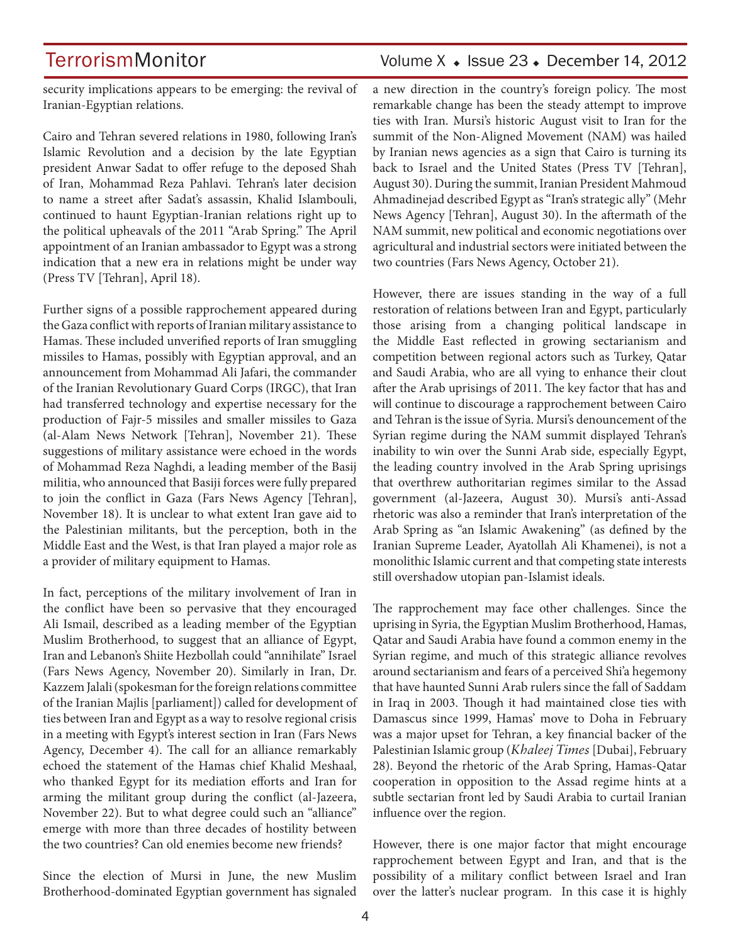## TerrorismMonitor Volume X + Issue 23 + December 14, 2012

security implications appears to be emerging: the revival of Iranian-Egyptian relations.

Cairo and Tehran severed relations in 1980, following Iran's Islamic Revolution and a decision by the late Egyptian president Anwar Sadat to offer refuge to the deposed Shah of Iran, Mohammad Reza Pahlavi. Tehran's later decision to name a street after Sadat's assassin, Khalid Islambouli, continued to haunt Egyptian-Iranian relations right up to the political upheavals of the 2011 "Arab Spring." The April appointment of an Iranian ambassador to Egypt was a strong indication that a new era in relations might be under way (Press TV [Tehran], April 18).

Further signs of a possible rapprochement appeared during the Gaza conflict with reports of Iranian military assistance to Hamas. These included unverified reports of Iran smuggling missiles to Hamas, possibly with Egyptian approval, and an announcement from Mohammad Ali Jafari, the commander of the Iranian Revolutionary Guard Corps (IRGC), that Iran had transferred technology and expertise necessary for the production of Fajr-5 missiles and smaller missiles to Gaza (al-Alam News Network [Tehran], November 21). These suggestions of military assistance were echoed in the words of Mohammad Reza Naghdi, a leading member of the Basij militia, who announced that Basiji forces were fully prepared to join the conflict in Gaza (Fars News Agency [Tehran], November 18). It is unclear to what extent Iran gave aid to the Palestinian militants, but the perception, both in the Middle East and the West, is that Iran played a major role as a provider of military equipment to Hamas.

In fact, perceptions of the military involvement of Iran in the conflict have been so pervasive that they encouraged Ali Ismail, described as a leading member of the Egyptian Muslim Brotherhood, to suggest that an alliance of Egypt, Iran and Lebanon's Shiite Hezbollah could "annihilate" Israel (Fars News Agency, November 20). Similarly in Iran, Dr. Kazzem Jalali (spokesman for the foreign relations committee of the Iranian Majlis [parliament]) called for development of ties between Iran and Egypt as a way to resolve regional crisis in a meeting with Egypt's interest section in Iran (Fars News Agency, December 4). The call for an alliance remarkably echoed the statement of the Hamas chief Khalid Meshaal, who thanked Egypt for its mediation efforts and Iran for arming the militant group during the conflict (al-Jazeera, November 22). But to what degree could such an "alliance" emerge with more than three decades of hostility between the two countries? Can old enemies become new friends?

Since the election of Mursi in June, the new Muslim Brotherhood-dominated Egyptian government has signaled a new direction in the country's foreign policy. The most remarkable change has been the steady attempt to improve ties with Iran. Mursi's historic August visit to Iran for the summit of the Non-Aligned Movement (NAM) was hailed by Iranian news agencies as a sign that Cairo is turning its back to Israel and the United States (Press TV [Tehran], August 30). During the summit, Iranian President Mahmoud Ahmadinejad described Egypt as "Iran's strategic ally" (Mehr News Agency [Tehran], August 30). In the aftermath of the NAM summit, new political and economic negotiations over agricultural and industrial sectors were initiated between the two countries (Fars News Agency, October 21).

However, there are issues standing in the way of a full restoration of relations between Iran and Egypt, particularly those arising from a changing political landscape in the Middle East reflected in growing sectarianism and competition between regional actors such as Turkey, Qatar and Saudi Arabia, who are all vying to enhance their clout after the Arab uprisings of 2011. The key factor that has and will continue to discourage a rapprochement between Cairo and Tehran is the issue of Syria. Mursi's denouncement of the Syrian regime during the NAM summit displayed Tehran's inability to win over the Sunni Arab side, especially Egypt, the leading country involved in the Arab Spring uprisings that overthrew authoritarian regimes similar to the Assad government (al-Jazeera, August 30). Mursi's anti-Assad rhetoric was also a reminder that Iran's interpretation of the Arab Spring as "an Islamic Awakening" (as defined by the Iranian Supreme Leader, Ayatollah Ali Khamenei), is not a monolithic Islamic current and that competing state interests still overshadow utopian pan-Islamist ideals.

The rapprochement may face other challenges. Since the uprising in Syria, the Egyptian Muslim Brotherhood, Hamas, Qatar and Saudi Arabia have found a common enemy in the Syrian regime, and much of this strategic alliance revolves around sectarianism and fears of a perceived Shi'a hegemony that have haunted Sunni Arab rulers since the fall of Saddam in Iraq in 2003. Though it had maintained close ties with Damascus since 1999, Hamas' move to Doha in February was a major upset for Tehran, a key financial backer of the Palestinian Islamic group (*Khaleej Times* [Dubai], February 28). Beyond the rhetoric of the Arab Spring, Hamas-Qatar cooperation in opposition to the Assad regime hints at a subtle sectarian front led by Saudi Arabia to curtail Iranian influence over the region.

However, there is one major factor that might encourage rapprochement between Egypt and Iran, and that is the possibility of a military conflict between Israel and Iran over the latter's nuclear program. In this case it is highly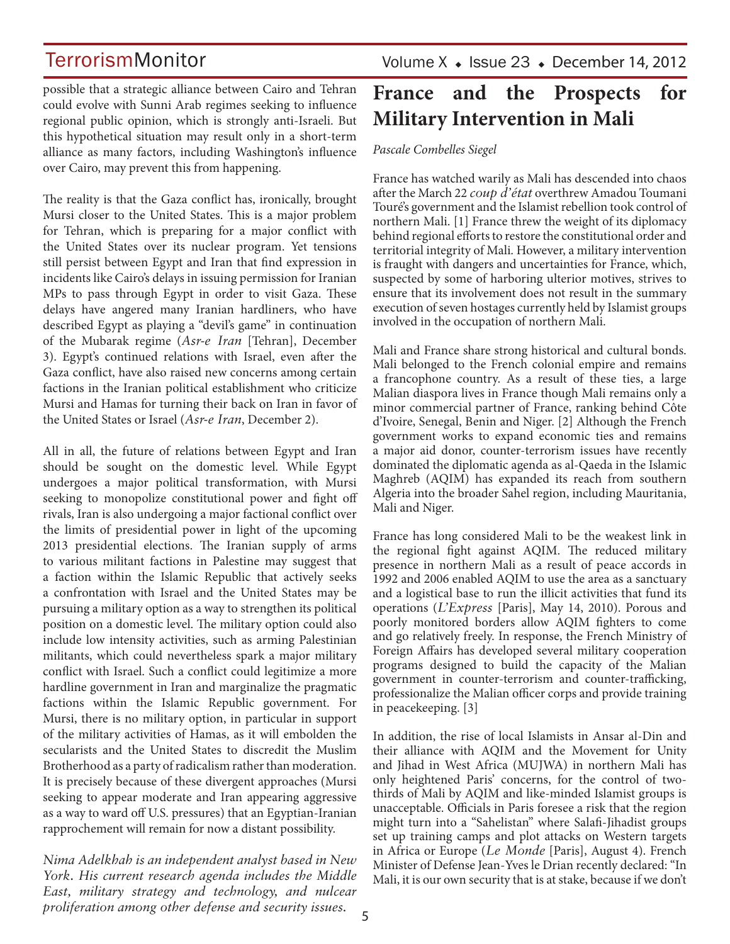possible that a strategic alliance between Cairo and Tehran could evolve with Sunni Arab regimes seeking to influence regional public opinion, which is strongly anti-Israeli. But this hypothetical situation may result only in a short-term alliance as many factors, including Washington's influence over Cairo, may prevent this from happening.

The reality is that the Gaza conflict has, ironically, brought Mursi closer to the United States. This is a major problem for Tehran, which is preparing for a major conflict with the United States over its nuclear program. Yet tensions still persist between Egypt and Iran that find expression in incidents like Cairo's delays in issuing permission for Iranian MPs to pass through Egypt in order to visit Gaza. These delays have angered many Iranian hardliners, who have described Egypt as playing a "devil's game" in continuation of the Mubarak regime (*Asr-e Iran* [Tehran], December 3). Egypt's continued relations with Israel, even after the Gaza conflict, have also raised new concerns among certain factions in the Iranian political establishment who criticize Mursi and Hamas for turning their back on Iran in favor of the United States or Israel (*Asr-e Iran*, December 2).

All in all, the future of relations between Egypt and Iran should be sought on the domestic level. While Egypt undergoes a major political transformation, with Mursi seeking to monopolize constitutional power and fight off rivals, Iran is also undergoing a major factional conflict over the limits of presidential power in light of the upcoming 2013 presidential elections. The Iranian supply of arms to various militant factions in Palestine may suggest that a faction within the Islamic Republic that actively seeks a confrontation with Israel and the United States may be pursuing a military option as a way to strengthen its political position on a domestic level. The military option could also include low intensity activities, such as arming Palestinian militants, which could nevertheless spark a major military conflict with Israel. Such a conflict could legitimize a more hardline government in Iran and marginalize the pragmatic factions within the Islamic Republic government. For Mursi, there is no military option, in particular in support of the military activities of Hamas, as it will embolden the secularists and the United States to discredit the Muslim Brotherhood as a party of radicalism rather than moderation. It is precisely because of these divergent approaches (Mursi seeking to appear moderate and Iran appearing aggressive as a way to ward off U.S. pressures) that an Egyptian-Iranian rapprochement will remain for now a distant possibility.

*Nima Adelkhah is an independent analyst based in New York. His current research agenda includes the Middle East, military strategy and technology, and nulcear proliferation among other defense and security issues.*

## **France and the Prospects for Military Intervention in Mali**

*Pascale Combelles Siegel*

France has watched warily as Mali has descended into chaos after the March 22 *coup d'état* overthrew Amadou Toumani Touré's government and the Islamist rebellion took control of northern Mali. [1] France threw the weight of its diplomacy behind regional efforts to restore the constitutional order and territorial integrity of Mali. However, a military intervention is fraught with dangers and uncertainties for France, which, suspected by some of harboring ulterior motives, strives to ensure that its involvement does not result in the summary execution of seven hostages currently held by Islamist groups involved in the occupation of northern Mali.

Mali and France share strong historical and cultural bonds. Mali belonged to the French colonial empire and remains a francophone country. As a result of these ties, a large Malian diaspora lives in France though Mali remains only a minor commercial partner of France, ranking behind Côte d'Ivoire, Senegal, Benin and Niger. [2] Although the French government works to expand economic ties and remains a major aid donor, counter-terrorism issues have recently dominated the diplomatic agenda as al-Qaeda in the Islamic Maghreb (AQIM) has expanded its reach from southern Algeria into the broader Sahel region, including Mauritania, Mali and Niger.

France has long considered Mali to be the weakest link in the regional fight against AQIM. The reduced military presence in northern Mali as a result of peace accords in 1992 and 2006 enabled AQIM to use the area as a sanctuary and a logistical base to run the illicit activities that fund its operations (*L'Express* [Paris], May 14, 2010). Porous and poorly monitored borders allow AQIM fighters to come and go relatively freely. In response, the French Ministry of Foreign Affairs has developed several military cooperation programs designed to build the capacity of the Malian government in counter-terrorism and counter-trafficking, professionalize the Malian officer corps and provide training in peacekeeping. [3]

In addition, the rise of local Islamists in Ansar al-Din and their alliance with AQIM and the Movement for Unity and Jihad in West Africa (MUJWA) in northern Mali has only heightened Paris' concerns, for the control of twothirds of Mali by AQIM and like-minded Islamist groups is unacceptable. Officials in Paris foresee a risk that the region might turn into a "Sahelistan" where Salafi-Jihadist groups set up training camps and plot attacks on Western targets in Africa or Europe (*Le Monde* [Paris], August 4). French Minister of Defense Jean-Yves le Drian recently declared: "In Mali, it is our own security that is at stake, because if we don't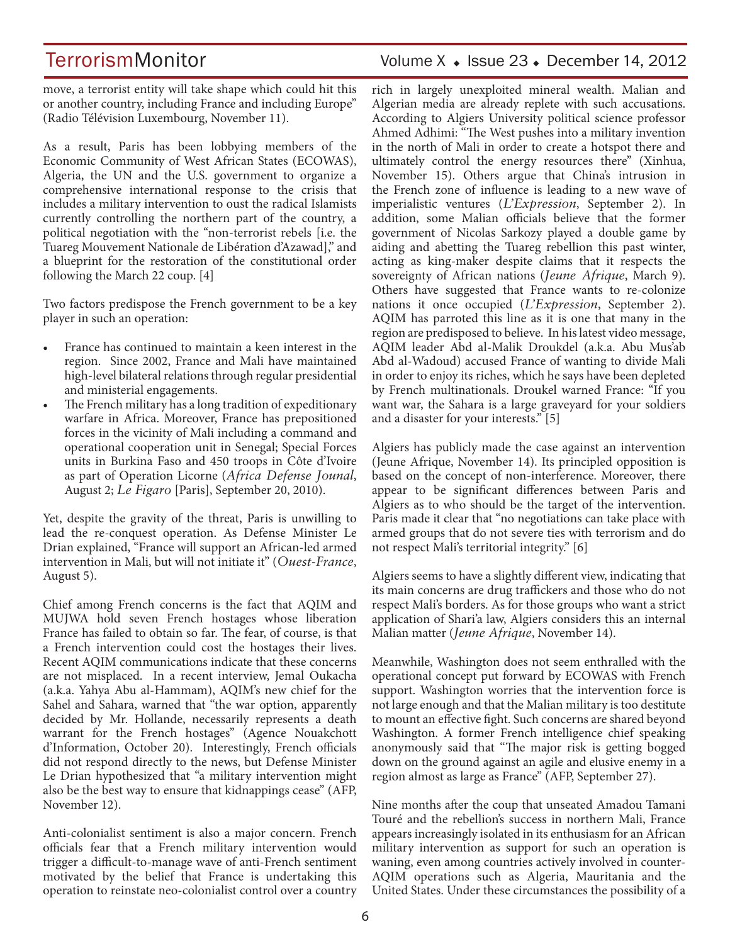move, a terrorist entity will take shape which could hit this or another country, including France and including Europe" (Radio Télévision Luxembourg, November 11).

As a result, Paris has been lobbying members of the Economic Community of West African States (ECOWAS), Algeria, the UN and the U.S. government to organize a comprehensive international response to the crisis that includes a military intervention to oust the radical Islamists currently controlling the northern part of the country, a political negotiation with the "non-terrorist rebels [i.e. the Tuareg Mouvement Nationale de Libération d'Azawad]," and a blueprint for the restoration of the constitutional order following the March 22 coup. [4]

Two factors predispose the French government to be a key player in such an operation:

- France has continued to maintain a keen interest in the region. Since 2002, France and Mali have maintained high-level bilateral relations through regular presidential and ministerial engagements.
- The French military has a long tradition of expeditionary warfare in Africa. Moreover, France has prepositioned forces in the vicinity of Mali including a command and operational cooperation unit in Senegal; Special Forces units in Burkina Faso and 450 troops in Côte d'Ivoire as part of Operation Licorne (*Africa Defense Jounal*, August 2; *Le Figaro* [Paris], September 20, 2010).

Yet, despite the gravity of the threat, Paris is unwilling to lead the re-conquest operation. As Defense Minister Le Drian explained, "France will support an African-led armed intervention in Mali, but will not initiate it" (*Ouest-France*, August 5).

Chief among French concerns is the fact that AQIM and MUJWA hold seven French hostages whose liberation France has failed to obtain so far. The fear, of course, is that a French intervention could cost the hostages their lives. Recent AQIM communications indicate that these concerns are not misplaced. In a recent interview, Jemal Oukacha (a.k.a. Yahya Abu al-Hammam), AQIM's new chief for the Sahel and Sahara, warned that "the war option, apparently decided by Mr. Hollande, necessarily represents a death warrant for the French hostages" (Agence Nouakchott d'Information, October 20). Interestingly, French officials did not respond directly to the news, but Defense Minister Le Drian hypothesized that "a military intervention might also be the best way to ensure that kidnappings cease" (AFP, November 12).

Anti-colonialist sentiment is also a major concern. French officials fear that a French military intervention would trigger a difficult-to-manage wave of anti-French sentiment motivated by the belief that France is undertaking this operation to reinstate neo-colonialist control over a country

## TerrorismMonitor Volume X + Issue 23 + December 14, 2012

rich in largely unexploited mineral wealth. Malian and Algerian media are already replete with such accusations. According to Algiers University political science professor Ahmed Adhimi: "The West pushes into a military invention in the north of Mali in order to create a hotspot there and ultimately control the energy resources there" (Xinhua, November 15). Others argue that China's intrusion in the French zone of influence is leading to a new wave of imperialistic ventures (*L'Expression*, September 2). In addition, some Malian officials believe that the former government of Nicolas Sarkozy played a double game by aiding and abetting the Tuareg rebellion this past winter, acting as king-maker despite claims that it respects the sovereignty of African nations (*Jeune Afrique*, March 9). Others have suggested that France wants to re-colonize nations it once occupied (*L'Expression*, September 2). AQIM has parroted this line as it is one that many in the region are predisposed to believe. In his latest video message, AQIM leader Abd al-Malik Droukdel (a.k.a. Abu Mus'ab Abd al-Wadoud) accused France of wanting to divide Mali in order to enjoy its riches, which he says have been depleted by French multinationals. Droukel warned France: "If you want war, the Sahara is a large graveyard for your soldiers and a disaster for your interests." [5]

Algiers has publicly made the case against an intervention (Jeune Afrique, November 14). Its principled opposition is based on the concept of non-interference. Moreover, there appear to be significant differences between Paris and Algiers as to who should be the target of the intervention. Paris made it clear that "no negotiations can take place with armed groups that do not severe ties with terrorism and do not respect Mali's territorial integrity." [6]

Algiers seems to have a slightly different view, indicating that its main concerns are drug traffickers and those who do not respect Mali's borders. As for those groups who want a strict application of Shari'a law, Algiers considers this an internal Malian matter (*Jeune Afrique*, November 14).

Meanwhile, Washington does not seem enthralled with the operational concept put forward by ECOWAS with French support. Washington worries that the intervention force is not large enough and that the Malian military is too destitute to mount an effective fight. Such concerns are shared beyond Washington. A former French intelligence chief speaking anonymously said that "The major risk is getting bogged down on the ground against an agile and elusive enemy in a region almost as large as France" (AFP, September 27).

Nine months after the coup that unseated Amadou Tamani Touré and the rebellion's success in northern Mali, France appears increasingly isolated in its enthusiasm for an African military intervention as support for such an operation is waning, even among countries actively involved in counter-AQIM operations such as Algeria, Mauritania and the United States. Under these circumstances the possibility of a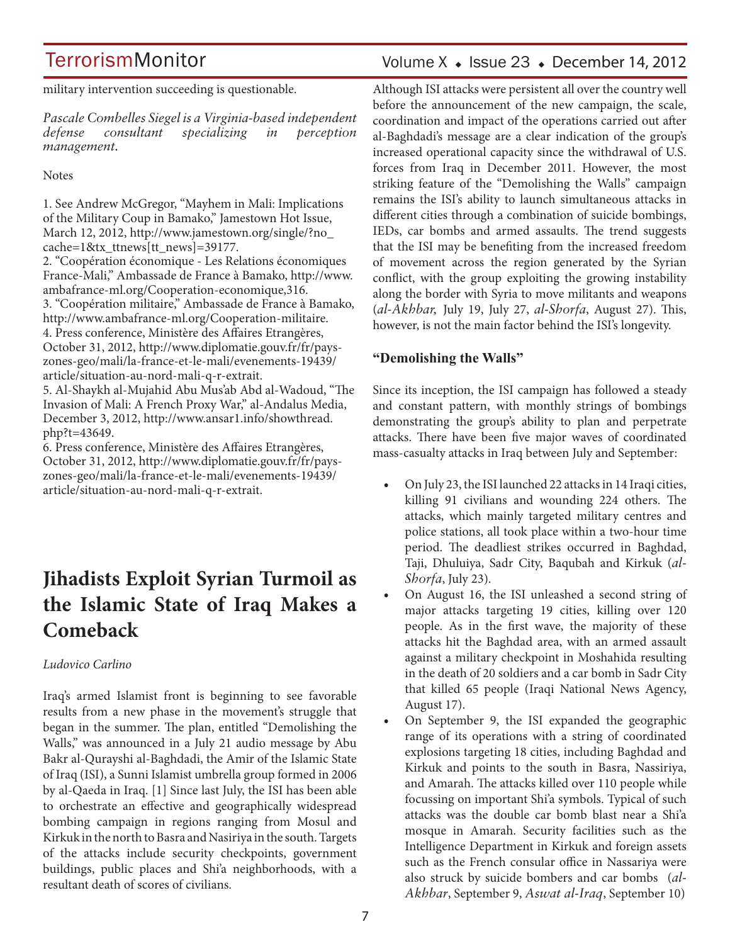military intervention succeeding is questionable.

*Pascale Combelles Siegel is a Virginia-based independent defense consultant specializing in perception management.*

**Notes** 

1. See Andrew McGregor, "Mayhem in Mali: Implications of the Military Coup in Bamako," Jamestown Hot Issue, March 12, 2012, http://www.jamestown.org/single/?no\_ cache=1&tx\_ttnews[tt\_news]=39177. 2. "Coopération économique - Les Relations économiques France-Mali," Ambassade de France à Bamako, http://www. ambafrance-ml.org/Cooperation-economique,316. 3. "Coopération militaire," Ambassade de France à Bamako, http://www.ambafrance-ml.org/Cooperation-militaire. 4. Press conference, Ministère des Affaires Etrangères, October 31, 2012, http://www.diplomatie.gouv.fr/fr/payszones-geo/mali/la-france-et-le-mali/evenements-19439/ article/situation-au-nord-mali-q-r-extrait. 5. Al-Shaykh al-Mujahid Abu Mus'ab Abd al-Wadoud, "The Invasion of Mali: A French Proxy War," al-Andalus Media, December 3, 2012, http://www.ansar1.info/showthread. php?t=43649.

6. Press conference, Ministère des Affaires Etrangères, October 31, 2012, http://www.diplomatie.gouv.fr/fr/payszones-geo/mali/la-france-et-le-mali/evenements-19439/ article/situation-au-nord-mali-q-r-extrait.

## **Jihadists Exploit Syrian Turmoil as the Islamic State of Iraq Makes a Comeback**

### *Ludovico Carlino*

Iraq's armed Islamist front is beginning to see favorable results from a new phase in the movement's struggle that began in the summer. The plan, entitled "Demolishing the Walls," was announced in a July 21 audio message by Abu Bakr al-Qurayshi al-Baghdadi, the Amir of the Islamic State of Iraq (ISI), a Sunni Islamist umbrella group formed in 2006 by al-Qaeda in Iraq. [1] Since last July, the ISI has been able to orchestrate an effective and geographically widespread bombing campaign in regions ranging from Mosul and Kirkuk in the north to Basra and Nasiriya in the south. Targets of the attacks include security checkpoints, government buildings, public places and Shi'a neighborhoods, with a resultant death of scores of civilians.

## Volume  $X \triangleleft$  Issue 23  $\triangleleft$  December 14, 2012

Although ISI attacks were persistent all over the country well before the announcement of the new campaign, the scale, coordination and impact of the operations carried out after al-Baghdadi's message are a clear indication of the group's increased operational capacity since the withdrawal of U.S. forces from Iraq in December 2011. However, the most striking feature of the "Demolishing the Walls" campaign remains the ISI's ability to launch simultaneous attacks in different cities through a combination of suicide bombings, IEDs, car bombs and armed assaults. The trend suggests that the ISI may be benefiting from the increased freedom of movement across the region generated by the Syrian conflict, with the group exploiting the growing instability along the border with Syria to move militants and weapons (*al-Akhbar,* July 19, July 27, *al-Shorfa*, August 27). This, however, is not the main factor behind the ISI's longevity.

### **"Demolishing the Walls"**

Since its inception, the ISI campaign has followed a steady and constant pattern, with monthly strings of bombings demonstrating the group's ability to plan and perpetrate attacks. There have been five major waves of coordinated mass-casualty attacks in Iraq between July and September:

- On July 23, the ISI launched 22 attacks in 14 Iraqi cities, killing 91 civilians and wounding 224 others. The attacks, which mainly targeted military centres and police stations, all took place within a two-hour time period. The deadliest strikes occurred in Baghdad, Taji, Dhuluiya, Sadr City, Baqubah and Kirkuk (*al-Shorfa*, July 23).
- On August 16, the ISI unleashed a second string of major attacks targeting 19 cities, killing over 120 people. As in the first wave, the majority of these attacks hit the Baghdad area, with an armed assault against a military checkpoint in Moshahida resulting in the death of 20 soldiers and a car bomb in Sadr City that killed 65 people (Iraqi National News Agency, August 17).
- On September 9, the ISI expanded the geographic range of its operations with a string of coordinated explosions targeting 18 cities, including Baghdad and Kirkuk and points to the south in Basra, Nassiriya, and Amarah. The attacks killed over 110 people while focussing on important Shi'a symbols. Typical of such attacks was the double car bomb blast near a Shi'a mosque in Amarah. Security facilities such as the Intelligence Department in Kirkuk and foreign assets such as the French consular office in Nassariya were also struck by suicide bombers and car bombs (*al-Akhbar*, September 9, *Aswat al-Iraq*, September 10)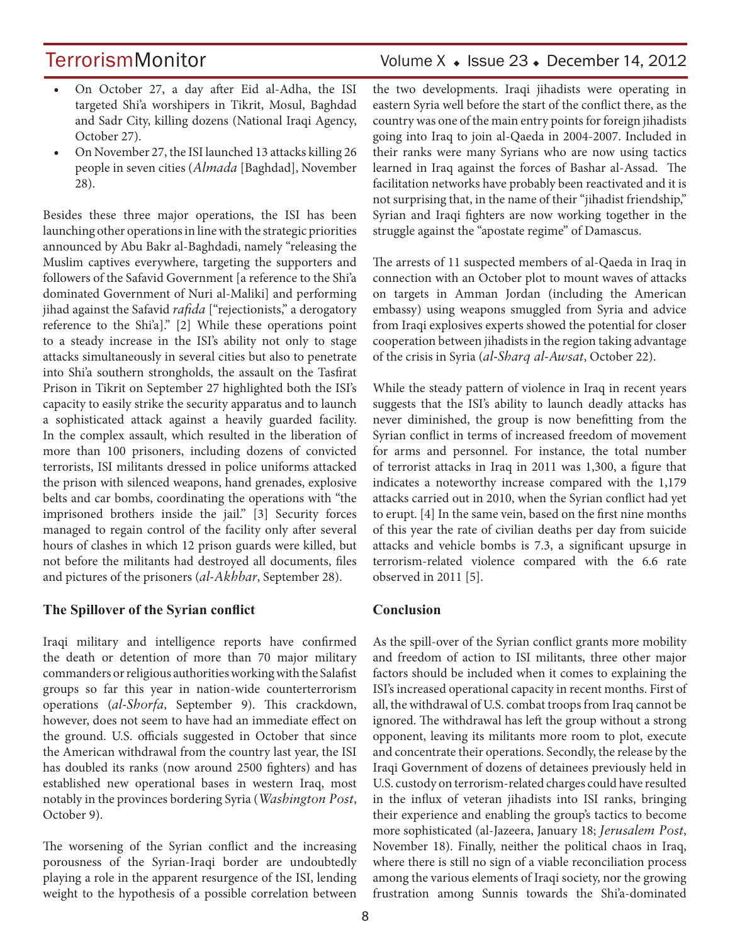## TerrorismMonitor Volume X + Issue 23 + December 14, 2012

- On October 27, a day after Eid al-Adha, the ISI targeted Shi'a worshipers in Tikrit, Mosul, Baghdad and Sadr City, killing dozens (National Iraqi Agency, October 27).
- On November 27, the ISI launched 13 attacks killing 26 people in seven cities (*Almada* [Baghdad], November 28).

Besides these three major operations, the ISI has been launching other operations in line with the strategic priorities announced by Abu Bakr al-Baghdadi, namely "releasing the Muslim captives everywhere, targeting the supporters and followers of the Safavid Government [a reference to the Shi'a dominated Government of Nuri al-Maliki] and performing jihad against the Safavid *rafida* ["rejectionists," a derogatory reference to the Shi'a]." [2] While these operations point to a steady increase in the ISI's ability not only to stage attacks simultaneously in several cities but also to penetrate into Shi'a southern strongholds, the assault on the Tasfirat Prison in Tikrit on September 27 highlighted both the ISI's capacity to easily strike the security apparatus and to launch a sophisticated attack against a heavily guarded facility. In the complex assault, which resulted in the liberation of more than 100 prisoners, including dozens of convicted terrorists, ISI militants dressed in police uniforms attacked the prison with silenced weapons, hand grenades, explosive belts and car bombs, coordinating the operations with "the imprisoned brothers inside the jail." [3] Security forces managed to regain control of the facility only after several hours of clashes in which 12 prison guards were killed, but not before the militants had destroyed all documents, files and pictures of the prisoners (*al-Akhbar*, September 28).

#### **The Spillover of the Syrian conflict**

Iraqi military and intelligence reports have confirmed the death or detention of more than 70 major military commanders or religious authorities working with the Salafist groups so far this year in nation-wide counterterrorism operations (*al-Shorfa*, September 9). This crackdown, however, does not seem to have had an immediate effect on the ground. U.S. officials suggested in October that since the American withdrawal from the country last year, the ISI has doubled its ranks (now around 2500 fighters) and has established new operational bases in western Iraq, most notably in the provinces bordering Syria (*Washington Post*, October 9).

The worsening of the Syrian conflict and the increasing porousness of the Syrian-Iraqi border are undoubtedly playing a role in the apparent resurgence of the ISI, lending weight to the hypothesis of a possible correlation between the two developments. Iraqi jihadists were operating in eastern Syria well before the start of the conflict there, as the country was one of the main entry points for foreign jihadists going into Iraq to join al-Qaeda in 2004-2007. Included in their ranks were many Syrians who are now using tactics learned in Iraq against the forces of Bashar al-Assad. The facilitation networks have probably been reactivated and it is not surprising that, in the name of their "jihadist friendship," Syrian and Iraqi fighters are now working together in the struggle against the "apostate regime" of Damascus.

The arrests of 11 suspected members of al-Qaeda in Iraq in connection with an October plot to mount waves of attacks on targets in Amman Jordan (including the American embassy) using weapons smuggled from Syria and advice from Iraqi explosives experts showed the potential for closer cooperation between jihadists in the region taking advantage of the crisis in Syria (*al-Sharq al-Awsat*, October 22).

While the steady pattern of violence in Iraq in recent years suggests that the ISI's ability to launch deadly attacks has never diminished, the group is now benefitting from the Syrian conflict in terms of increased freedom of movement for arms and personnel. For instance, the total number of terrorist attacks in Iraq in 2011 was 1,300, a figure that indicates a noteworthy increase compared with the 1,179 attacks carried out in 2010, when the Syrian conflict had yet to erupt. [4] In the same vein, based on the first nine months of this year the rate of civilian deaths per day from suicide attacks and vehicle bombs is 7.3, a significant upsurge in terrorism-related violence compared with the 6.6 rate observed in 2011 [5].

#### **Conclusion**

As the spill-over of the Syrian conflict grants more mobility and freedom of action to ISI militants, three other major factors should be included when it comes to explaining the ISI's increased operational capacity in recent months. First of all, the withdrawal of U.S. combat troops from Iraq cannot be ignored. The withdrawal has left the group without a strong opponent, leaving its militants more room to plot, execute and concentrate their operations. Secondly, the release by the Iraqi Government of dozens of detainees previously held in U.S. custody on terrorism-related charges could have resulted in the influx of veteran jihadists into ISI ranks, bringing their experience and enabling the group's tactics to become more sophisticated (al-Jazeera, January 18; *Jerusalem Post*, November 18). Finally, neither the political chaos in Iraq, where there is still no sign of a viable reconciliation process among the various elements of Iraqi society, nor the growing frustration among Sunnis towards the Shi'a-dominated